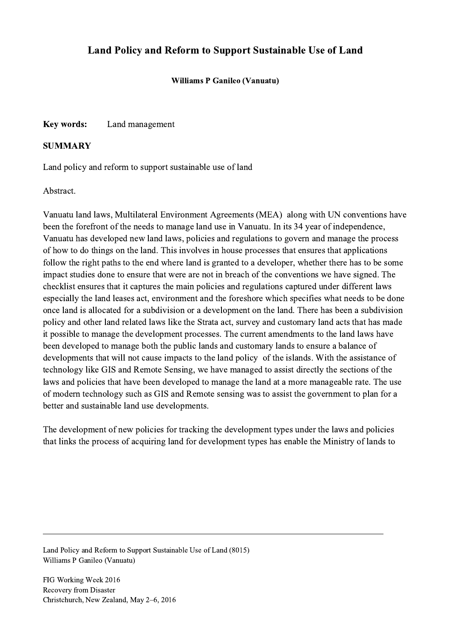## Land Policy and Reform to Support Sustainable Use of Land

Williams P Ganileo (Vanuatu)

Key words: Land management

## **SUMMARY**

Land policy and reform to support sustainable use of land

Abstract.

Vanuatu land laws, Multilateral Environment Agreements (MEA) along with UN conventions have been the forefront of the needs to manage land use in Vanuatu. In its 34 year of independence, Vanuatu has developed new land laws, policies and regulations to govern and manage the process of how to do things on the land. This involves in house processes that ensures that applications follow the right paths to the end where land is granted to a developer, whether there has to be some impact studies done to ensure that were are not in breach of the conventions we have signed. The checklist ensures that it captures the main policies and regulations captured under different laws especially the land leases act, environment and the foreshore which specifies what needs to be done once land is allocated for a subdivision or a development on the land. There has been a subdivision policy and other land related laws like the Strata act, survey and customary land acts that has made it possible to manage the development processes. The current amendments to the land laws have been developed to manage both the public lands and customary lands to ensure a balance of developments that will not cause impacts to the land policy of the islands. With the assistance of technology like GIS and Remote Sensing, we have managed to assist directly the sections of the laws and policies that have been developed to manage the land at a more manageable rate. The use of modern technology such as GIS and Remote sensing was to assist the government to plan for a better and sustainable land use developments.

The development of new policies for tracking the development types under the laws and policies that links the process of acquiring land for development types has enable the Ministry of lands to

 $\mathcal{L}_\mathcal{L} = \{ \mathcal{L}_\mathcal{L} = \{ \mathcal{L}_\mathcal{L} = \{ \mathcal{L}_\mathcal{L} = \{ \mathcal{L}_\mathcal{L} = \{ \mathcal{L}_\mathcal{L} = \{ \mathcal{L}_\mathcal{L} = \{ \mathcal{L}_\mathcal{L} = \{ \mathcal{L}_\mathcal{L} = \{ \mathcal{L}_\mathcal{L} = \{ \mathcal{L}_\mathcal{L} = \{ \mathcal{L}_\mathcal{L} = \{ \mathcal{L}_\mathcal{L} = \{ \mathcal{L}_\mathcal{L} = \{ \mathcal{L}_\mathcal{$ 

Land Policy and Reform to Support Sustainable Use of Land (8015) Williams P Ganileo (Vanuatu)

FIG Working Week 2016 Recovery from Disaster Christchurch, New Zealand, May 2–6, 2016